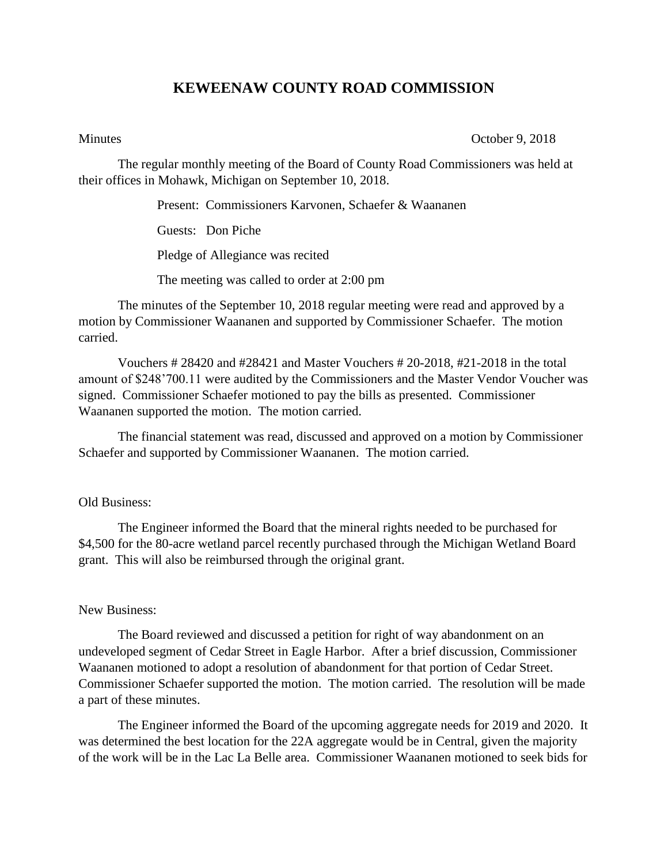## **KEWEENAW COUNTY ROAD COMMISSION**

Minutes October 9, 2018

The regular monthly meeting of the Board of County Road Commissioners was held at their offices in Mohawk, Michigan on September 10, 2018.

Present: Commissioners Karvonen, Schaefer & Waananen

Guests: Don Piche

Pledge of Allegiance was recited

The meeting was called to order at 2:00 pm

The minutes of the September 10, 2018 regular meeting were read and approved by a motion by Commissioner Waananen and supported by Commissioner Schaefer. The motion carried.

Vouchers # 28420 and #28421 and Master Vouchers # 20-2018, #21-2018 in the total amount of \$248'700.11 were audited by the Commissioners and the Master Vendor Voucher was signed. Commissioner Schaefer motioned to pay the bills as presented. Commissioner Waananen supported the motion. The motion carried.

The financial statement was read, discussed and approved on a motion by Commissioner Schaefer and supported by Commissioner Waananen. The motion carried.

## Old Business:

The Engineer informed the Board that the mineral rights needed to be purchased for \$4,500 for the 80-acre wetland parcel recently purchased through the Michigan Wetland Board grant. This will also be reimbursed through the original grant.

## New Business:

The Board reviewed and discussed a petition for right of way abandonment on an undeveloped segment of Cedar Street in Eagle Harbor. After a brief discussion, Commissioner Waananen motioned to adopt a resolution of abandonment for that portion of Cedar Street. Commissioner Schaefer supported the motion. The motion carried. The resolution will be made a part of these minutes.

The Engineer informed the Board of the upcoming aggregate needs for 2019 and 2020. It was determined the best location for the 22A aggregate would be in Central, given the majority of the work will be in the Lac La Belle area. Commissioner Waananen motioned to seek bids for